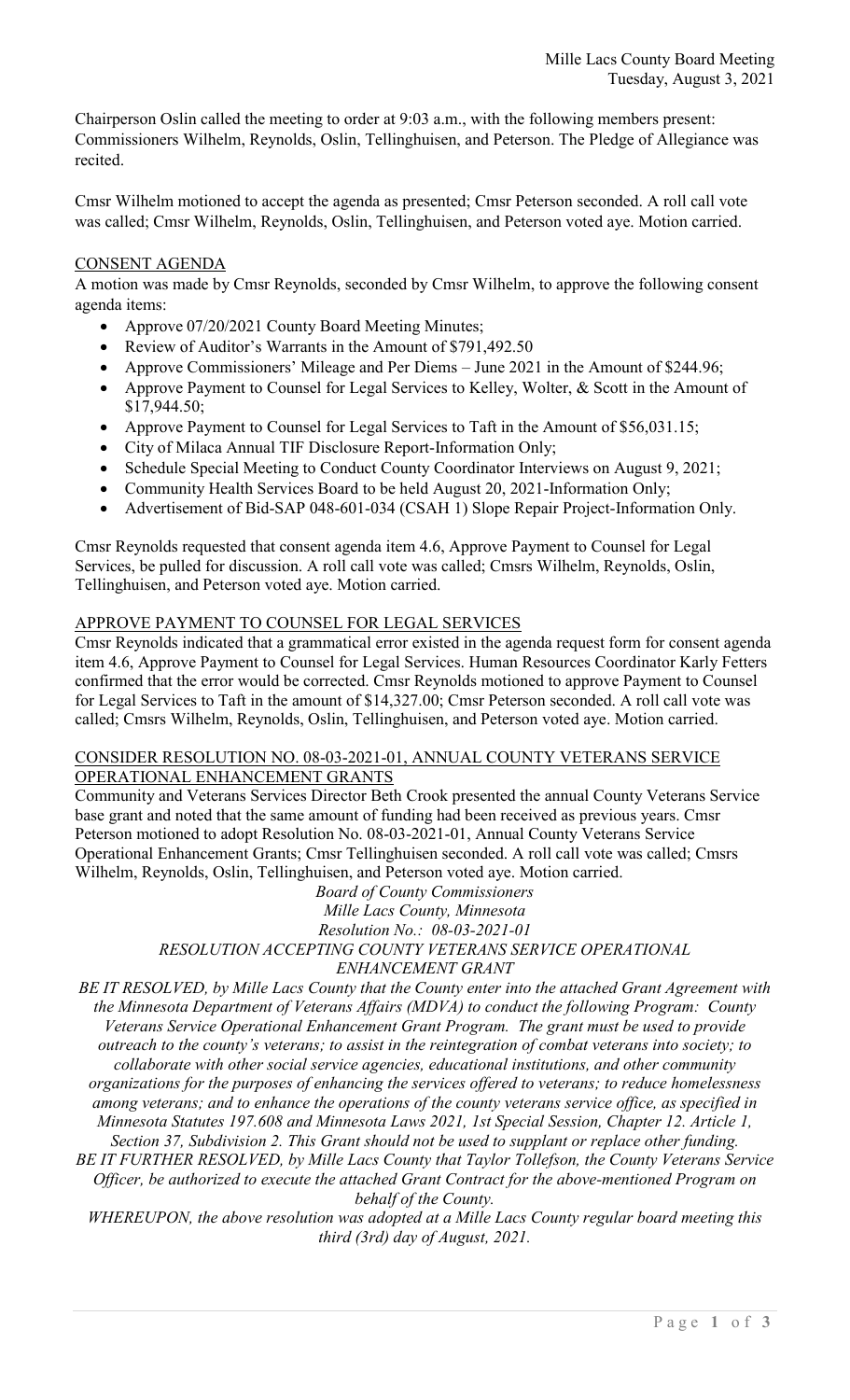Chairperson Oslin called the meeting to order at 9:03 a.m., with the following members present: Commissioners Wilhelm, Reynolds, Oslin, Tellinghuisen, and Peterson. The Pledge of Allegiance was recited.

Cmsr Wilhelm motioned to accept the agenda as presented; Cmsr Peterson seconded. A roll call vote was called; Cmsr Wilhelm, Reynolds, Oslin, Tellinghuisen, and Peterson voted aye. Motion carried.

### CONSENT AGENDA

A motion was made by Cmsr Reynolds, seconded by Cmsr Wilhelm, to approve the following consent agenda items:

- Approve 07/20/2021 County Board Meeting Minutes;
- Review of Auditor's Warrants in the Amount of \$791,492.50
- Approve Commissioners' Mileage and Per Diems June 2021 in the Amount of \$244.96;
- Approve Payment to Counsel for Legal Services to Kelley, Wolter, & Scott in the Amount of \$17,944.50;
- Approve Payment to Counsel for Legal Services to Taft in the Amount of \$56,031.15;
- City of Milaca Annual TIF Disclosure Report-Information Only;
- Schedule Special Meeting to Conduct County Coordinator Interviews on August 9, 2021;
- Community Health Services Board to be held August 20, 2021-Information Only;
- Advertisement of Bid-SAP 048-601-034 (CSAH 1) Slope Repair Project-Information Only.

Cmsr Reynolds requested that consent agenda item 4.6, Approve Payment to Counsel for Legal Services, be pulled for discussion. A roll call vote was called; Cmsrs Wilhelm, Reynolds, Oslin, Tellinghuisen, and Peterson voted aye. Motion carried.

## APPROVE PAYMENT TO COUNSEL FOR LEGAL SERVICES

Cmsr Reynolds indicated that a grammatical error existed in the agenda request form for consent agenda item 4.6, Approve Payment to Counsel for Legal Services. Human Resources Coordinator Karly Fetters confirmed that the error would be corrected. Cmsr Reynolds motioned to approve Payment to Counsel for Legal Services to Taft in the amount of \$14,327.00; Cmsr Peterson seconded. A roll call vote was called; Cmsrs Wilhelm, Reynolds, Oslin, Tellinghuisen, and Peterson voted aye. Motion carried.

#### CONSIDER RESOLUTION NO. 08-03-2021-01, ANNUAL COUNTY VETERANS SERVICE OPERATIONAL ENHANCEMENT GRANTS

Community and Veterans Services Director Beth Crook presented the annual County Veterans Service base grant and noted that the same amount of funding had been received as previous years. Cmsr Peterson motioned to adopt Resolution No. 08-03-2021-01, Annual County Veterans Service Operational Enhancement Grants; Cmsr Tellinghuisen seconded. A roll call vote was called; Cmsrs Wilhelm, Reynolds, Oslin, Tellinghuisen, and Peterson voted aye. Motion carried.

*Board of County Commissioners Mille Lacs County, Minnesota Resolution No.: 08-03-2021-01 RESOLUTION ACCEPTING COUNTY VETERANS SERVICE OPERATIONAL ENHANCEMENT GRANT* 

*BE IT RESOLVED, by Mille Lacs County that the County enter into the attached Grant Agreement with the Minnesota Department of Veterans Affairs (MDVA) to conduct the following Program: County Veterans Service Operational Enhancement Grant Program. The grant must be used to provide outreach to the county's veterans; to assist in the reintegration of combat veterans into society; to collaborate with other social service agencies, educational institutions, and other community organizations for the purposes of enhancing the services offered to veterans; to reduce homelessness among veterans; and to enhance the operations of the county veterans service office, as specified in Minnesota Statutes 197.608 and Minnesota Laws 2021, 1st Special Session, Chapter 12. Article 1, Section 37, Subdivision 2. This Grant should not be used to supplant or replace other funding. BE IT FURTHER RESOLVED, by Mille Lacs County that Taylor Tollefson, the County Veterans Service* 

*Officer, be authorized to execute the attached Grant Contract for the above-mentioned Program on behalf of the County.* 

*WHEREUPON, the above resolution was adopted at a Mille Lacs County regular board meeting this third (3rd) day of August, 2021.*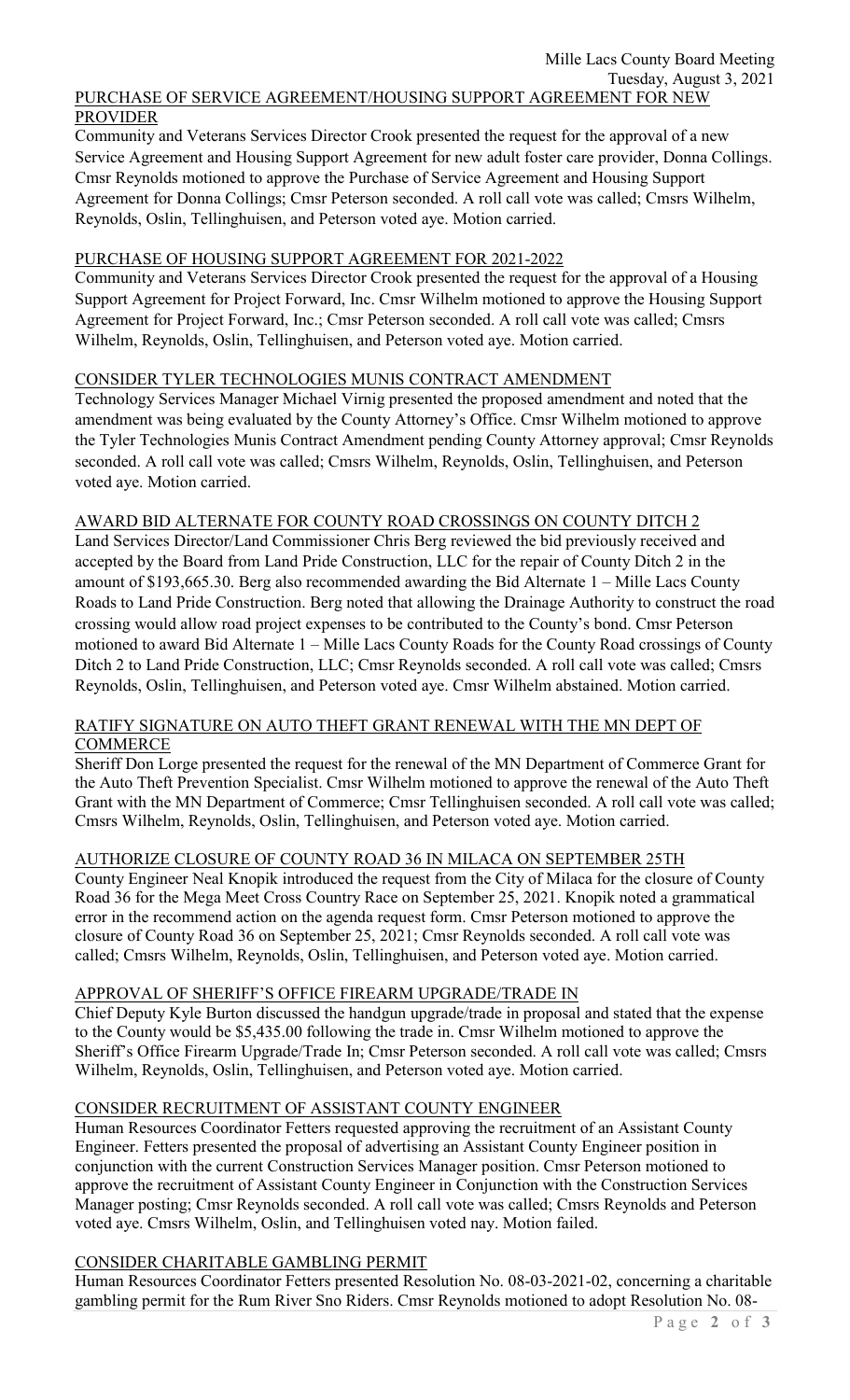#### PURCHASE OF SERVICE AGREEMENT/HOUSING SUPPORT AGREEMENT FOR NEW PROVIDER

Community and Veterans Services Director Crook presented the request for the approval of a new Service Agreement and Housing Support Agreement for new adult foster care provider, Donna Collings. Cmsr Reynolds motioned to approve the Purchase of Service Agreement and Housing Support Agreement for Donna Collings; Cmsr Peterson seconded. A roll call vote was called; Cmsrs Wilhelm, Reynolds, Oslin, Tellinghuisen, and Peterson voted aye. Motion carried.

## PURCHASE OF HOUSING SUPPORT AGREEMENT FOR 2021-2022

Community and Veterans Services Director Crook presented the request for the approval of a Housing Support Agreement for Project Forward, Inc. Cmsr Wilhelm motioned to approve the Housing Support Agreement for Project Forward, Inc.; Cmsr Peterson seconded. A roll call vote was called; Cmsrs Wilhelm, Reynolds, Oslin, Tellinghuisen, and Peterson voted aye. Motion carried.

# CONSIDER TYLER TECHNOLOGIES MUNIS CONTRACT AMENDMENT

Technology Services Manager Michael Virnig presented the proposed amendment and noted that the amendment was being evaluated by the County Attorney's Office. Cmsr Wilhelm motioned to approve the Tyler Technologies Munis Contract Amendment pending County Attorney approval; Cmsr Reynolds seconded. A roll call vote was called; Cmsrs Wilhelm, Reynolds, Oslin, Tellinghuisen, and Peterson voted aye. Motion carried.

### AWARD BID ALTERNATE FOR COUNTY ROAD CROSSINGS ON COUNTY DITCH 2

Land Services Director/Land Commissioner Chris Berg reviewed the bid previously received and accepted by the Board from Land Pride Construction, LLC for the repair of County Ditch 2 in the amount of \$193,665.30. Berg also recommended awarding the Bid Alternate 1 – Mille Lacs County Roads to Land Pride Construction. Berg noted that allowing the Drainage Authority to construct the road crossing would allow road project expenses to be contributed to the County's bond. Cmsr Peterson motioned to award Bid Alternate 1 – Mille Lacs County Roads for the County Road crossings of County Ditch 2 to Land Pride Construction, LLC; Cmsr Reynolds seconded. A roll call vote was called; Cmsrs Reynolds, Oslin, Tellinghuisen, and Peterson voted aye. Cmsr Wilhelm abstained. Motion carried.

#### RATIFY SIGNATURE ON AUTO THEFT GRANT RENEWAL WITH THE MN DEPT OF **COMMERCE**

Sheriff Don Lorge presented the request for the renewal of the MN Department of Commerce Grant for the Auto Theft Prevention Specialist. Cmsr Wilhelm motioned to approve the renewal of the Auto Theft Grant with the MN Department of Commerce; Cmsr Tellinghuisen seconded. A roll call vote was called; Cmsrs Wilhelm, Reynolds, Oslin, Tellinghuisen, and Peterson voted aye. Motion carried.

# AUTHORIZE CLOSURE OF COUNTY ROAD 36 IN MILACA ON SEPTEMBER 25TH

County Engineer Neal Knopik introduced the request from the City of Milaca for the closure of County Road 36 for the Mega Meet Cross Country Race on September 25, 2021. Knopik noted a grammatical error in the recommend action on the agenda request form. Cmsr Peterson motioned to approve the closure of County Road 36 on September 25, 2021; Cmsr Reynolds seconded. A roll call vote was called; Cmsrs Wilhelm, Reynolds, Oslin, Tellinghuisen, and Peterson voted aye. Motion carried.

#### APPROVAL OF SHERIFF'S OFFICE FIREARM UPGRADE/TRADE IN

Chief Deputy Kyle Burton discussed the handgun upgrade/trade in proposal and stated that the expense to the County would be \$5,435.00 following the trade in. Cmsr Wilhelm motioned to approve the Sheriff's Office Firearm Upgrade/Trade In; Cmsr Peterson seconded. A roll call vote was called; Cmsrs Wilhelm, Reynolds, Oslin, Tellinghuisen, and Peterson voted aye. Motion carried.

#### CONSIDER RECRUITMENT OF ASSISTANT COUNTY ENGINEER

Human Resources Coordinator Fetters requested approving the recruitment of an Assistant County Engineer. Fetters presented the proposal of advertising an Assistant County Engineer position in conjunction with the current Construction Services Manager position. Cmsr Peterson motioned to approve the recruitment of Assistant County Engineer in Conjunction with the Construction Services Manager posting; Cmsr Reynolds seconded. A roll call vote was called; Cmsrs Reynolds and Peterson voted aye. Cmsrs Wilhelm, Oslin, and Tellinghuisen voted nay. Motion failed.

#### CONSIDER CHARITABLE GAMBLING PERMIT

Human Resources Coordinator Fetters presented Resolution No. 08-03-2021-02, concerning a charitable gambling permit for the Rum River Sno Riders. Cmsr Reynolds motioned to adopt Resolution No. 08